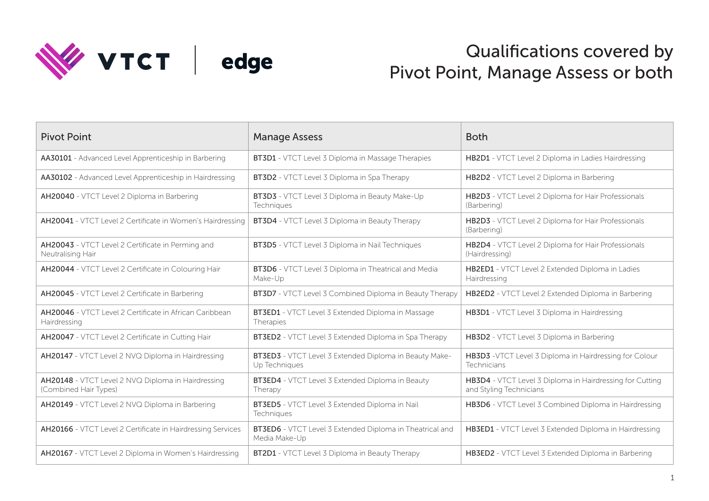

## Qualifications covered by Pivot Point, Manage Assess or both

| <b>Pivot Point</b>                                                                 | <b>Manage Assess</b>                                                             | <b>Both</b>                                                                                |
|------------------------------------------------------------------------------------|----------------------------------------------------------------------------------|--------------------------------------------------------------------------------------------|
| AA30101 - Advanced Level Apprenticeship in Barbering                               | <b>BT3D1</b> - VTCT Level 3 Diploma in Massage Therapies                         | HB2D1 - VTCT Level 2 Diploma in Ladies Hairdressing                                        |
| AA30102 - Advanced Level Apprenticeship in Hairdressing                            | <b>BT3D2</b> - VTCT Level 3 Diploma in Spa Therapy                               | HB2D2 - VTCT Level 2 Diploma in Barbering                                                  |
| AH20040 - VTCT Level 2 Diploma in Barbering                                        | BT3D3 - VTCT Level 3 Diploma in Beauty Make-Up<br>Techniques                     | HB2D3 - VTCT Level 2 Diploma for Hair Professionals<br>(Barbering)                         |
| AH20041 - VTCT Level 2 Certificate in Women's Hairdressing                         | <b>BT3D4</b> - VTCT Level 3 Diploma in Beauty Therapy                            | HB2D3 - VTCT Level 2 Diploma for Hair Professionals<br>(Barbering)                         |
| AH20043 - VTCT Level 2 Certificate in Perming and<br>Neutralising Hair             | <b>BT3D5</b> - VTCT Level 3 Diploma in Nail Techniques                           | HB2D4 - VTCT Level 2 Diploma for Hair Professionals<br>(Hairdressing)                      |
| AH20044 - VTCT Level 2 Certificate in Colouring Hair                               | BT3D6 - VTCT Level 3 Diploma in Theatrical and Media<br>Make-Up                  | HB2ED1 - VTCT Level 2 Extended Diploma in Ladies<br>Hairdressing                           |
| AH20045 - VTCT Level 2 Certificate in Barbering                                    | <b>BT3D7</b> - VTCT Level 3 Combined Diploma in Beauty Therapy                   | HB2ED2 - VTCT Level 2 Extended Diploma in Barbering                                        |
| <b>AH20046</b> - VTCT Level 2 Certificate in African Caribbean<br>Hairdressing     | <b>BT3ED1</b> - VTCT Level 3 Extended Diploma in Massage<br>Therapies            | <b>HB3D1</b> - VTCT Level 3 Diploma in Hairdressing                                        |
| <b>AH20047</b> - VTCT Level 2 Certificate in Cutting Hair                          | <b>BT3ED2</b> - VTCT Level 3 Extended Diploma in Spa Therapy                     | HB3D2 - VTCT Level 3 Diploma in Barbering                                                  |
| AH20147 - VTCT Level 2 NVQ Diploma in Hairdressing                                 | BT3ED3 - VTCT Level 3 Extended Diploma in Beauty Make-<br>Up Techniques          | <b>HB3D3</b> -VTCT Level 3 Diploma in Hairdressing for Colour<br><b>Technicians</b>        |
| <b>AH20148</b> - VTCT Level 2 NVQ Diploma in Hairdressing<br>(Combined Hair Types) | <b>BT3ED4</b> - VTCT Level 3 Extended Diploma in Beauty<br>Therapy               | <b>HB3D4</b> - VTCT Level 3 Diploma in Hairdressing for Cutting<br>and Styling Technicians |
| AH20149 - VTCT Level 2 NVQ Diploma in Barbering                                    | <b>BT3ED5</b> - VTCT Level 3 Extended Diploma in Nail<br><b>Techniques</b>       | HB3D6 - VTCT Level 3 Combined Diploma in Hairdressing                                      |
| AH20166 - VTCT Level 2 Certificate in Hairdressing Services                        | <b>BT3ED6</b> - VTCT Level 3 Extended Diploma in Theatrical and<br>Media Make-Up | HB3ED1 - VTCT Level 3 Extended Diploma in Hairdressing                                     |
| AH20167 - VTCT Level 2 Diploma in Women's Hairdressing                             | <b>BT2D1</b> - VTCT Level 3 Diploma in Beauty Therapy                            | HB3ED2 - VTCT Level 3 Extended Diploma in Barbering                                        |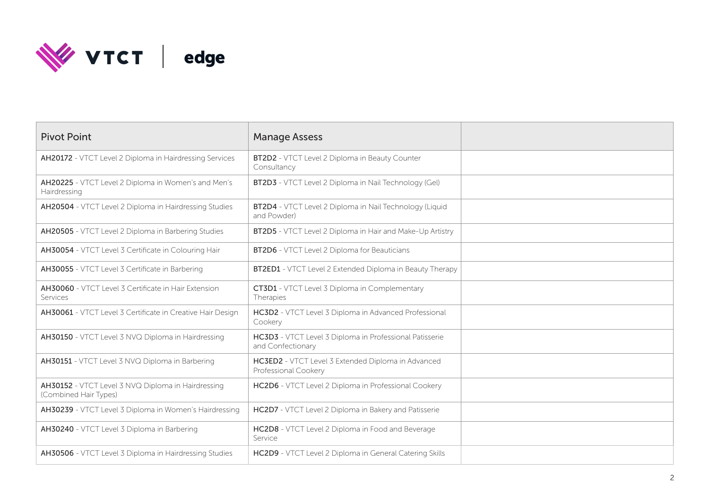

| <b>Pivot Point</b>                                                          | <b>Manage Assess</b>                                                         |  |
|-----------------------------------------------------------------------------|------------------------------------------------------------------------------|--|
| AH20172 - VTCT Level 2 Diploma in Hairdressing Services                     | <b>BT2D2</b> - VTCT Level 2 Diploma in Beauty Counter<br>Consultancy         |  |
| AH20225 - VTCT Level 2 Diploma in Women's and Men's<br>Hairdressing         | BT2D3 - VTCT Level 2 Diploma in Nail Technology (Gel)                        |  |
| AH20504 - VTCT Level 2 Diploma in Hairdressing Studies                      | BT2D4 - VTCT Level 2 Diploma in Nail Technology (Liquid<br>and Powder)       |  |
| AH20505 - VTCT Level 2 Diploma in Barbering Studies                         | BT2D5 - VTCT Level 2 Diploma in Hair and Make-Up Artistry                    |  |
| AH30054 - VTCT Level 3 Certificate in Colouring Hair                        | <b>BT2D6</b> - VTCT Level 2 Diploma for Beauticians                          |  |
| AH30055 - VTCT Level 3 Certificate in Barbering                             | <b>BT2ED1</b> - VTCT Level 2 Extended Diploma in Beauty Therapy              |  |
| <b>AH30060</b> - VTCT Level 3 Certificate in Hair Extension<br>Services     | CT3D1 - VTCT Level 3 Diploma in Complementary<br>Therapies                   |  |
| AH30061 - VTCT Level 3 Certificate in Creative Hair Design                  | HC3D2 - VTCT Level 3 Diploma in Advanced Professional<br>Cookery             |  |
| AH30150 - VTCT Level 3 NVQ Diploma in Hairdressing                          | HC3D3 - VTCT Level 3 Diploma in Professional Patisserie<br>and Confectionary |  |
| AH30151 - VTCT Level 3 NVQ Diploma in Barbering                             | HC3ED2 - VTCT Level 3 Extended Diploma in Advanced<br>Professional Cookery   |  |
| AH30152 - VTCT Level 3 NVQ Diploma in Hairdressing<br>(Combined Hair Types) | HC2D6 - VTCT Level 2 Diploma in Professional Cookery                         |  |
| AH30239 - VTCT Level 3 Diploma in Women's Hairdressing                      | HC2D7 - VTCT Level 2 Diploma in Bakery and Patisserie                        |  |
| AH30240 - VTCT Level 3 Diploma in Barbering                                 | HC2D8 - VTCT Level 2 Diploma in Food and Beverage<br>Service                 |  |
| AH30506 - VTCT Level 3 Diploma in Hairdressing Studies                      | HC2D9 - VTCT Level 2 Diploma in General Catering Skills                      |  |